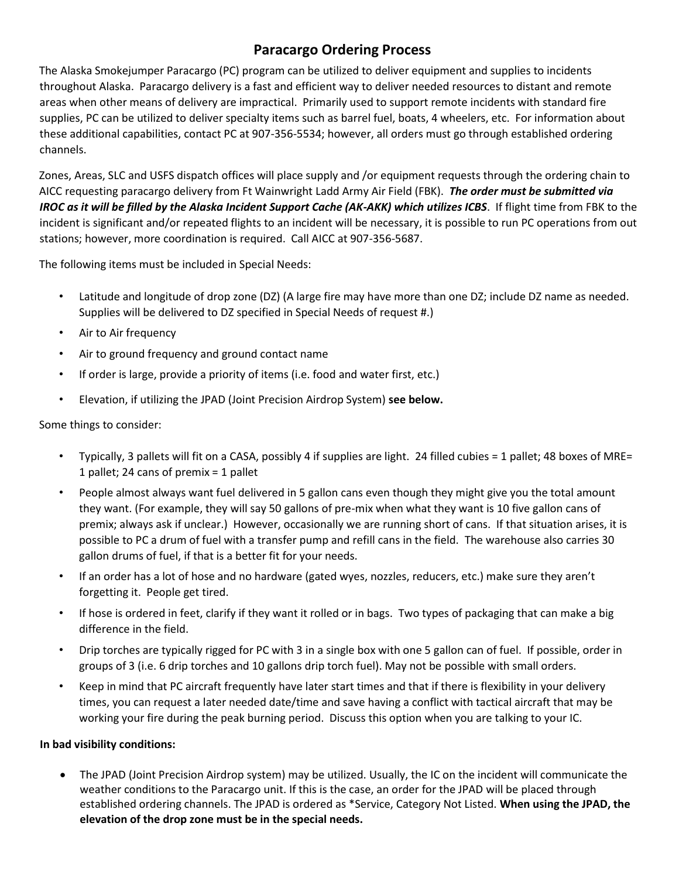## **Paracargo Ordering Process**

The Alaska Smokejumper Paracargo (PC) program can be utilized to deliver equipment and supplies to incidents throughout Alaska. Paracargo delivery is a fast and efficient way to deliver needed resources to distant and remote areas when other means of delivery are impractical. Primarily used to support remote incidents with standard fire supplies, PC can be utilized to deliver specialty items such as barrel fuel, boats, 4 wheelers, etc. For information about these additional capabilities, contact PC at 907-356-5534; however, all orders must go through established ordering channels.

Zones, Areas, SLC and USFS dispatch offices will place supply and /or equipment requests through the ordering chain to AICC requesting paracargo delivery from Ft Wainwright Ladd Army Air Field (FBK). *The order must be submitted via IROC as it will be filled by the Alaska Incident Support Cache (AK-AKK) which utilizes ICBS*. If flight time from FBK to the incident is significant and/or repeated flights to an incident will be necessary, it is possible to run PC operations from out stations; however, more coordination is required. Call AICC at 907-356-5687.

The following items must be included in Special Needs:

- Latitude and longitude of drop zone (DZ) (A large fire may have more than one DZ; include DZ name as needed. Supplies will be delivered to DZ specified in Special Needs of request #.)
- Air to Air frequency
- Air to ground frequency and ground contact name
- If order is large, provide a priority of items (i.e. food and water first, etc.)
- Elevation, if utilizing the JPAD (Joint Precision Airdrop System) **see below.**

Some things to consider:

- Typically, 3 pallets will fit on a CASA, possibly 4 if supplies are light. 24 filled cubies = 1 pallet; 48 boxes of MRE= 1 pallet; 24 cans of premix = 1 pallet
- People almost always want fuel delivered in 5 gallon cans even though they might give you the total amount they want. (For example, they will say 50 gallons of pre-mix when what they want is 10 five gallon cans of premix; always ask if unclear.) However, occasionally we are running short of cans. If that situation arises, it is possible to PC a drum of fuel with a transfer pump and refill cans in the field. The warehouse also carries 30 gallon drums of fuel, if that is a better fit for your needs.
- If an order has a lot of hose and no hardware (gated wyes, nozzles, reducers, etc.) make sure they aren't forgetting it. People get tired.
- If hose is ordered in feet, clarify if they want it rolled or in bags. Two types of packaging that can make a big difference in the field.
- Drip torches are typically rigged for PC with 3 in a single box with one 5 gallon can of fuel. If possible, order in groups of 3 (i.e. 6 drip torches and 10 gallons drip torch fuel). May not be possible with small orders.
- Keep in mind that PC aircraft frequently have later start times and that if there is flexibility in your delivery times, you can request a later needed date/time and save having a conflict with tactical aircraft that may be working your fire during the peak burning period. Discuss this option when you are talking to your IC.

## **In bad visibility conditions:**

• The JPAD (Joint Precision Airdrop system) may be utilized. Usually, the IC on the incident will communicate the weather conditions to the Paracargo unit. If this is the case, an order for the JPAD will be placed through established ordering channels. The JPAD is ordered as \*Service, Category Not Listed. **When using the JPAD, the elevation of the drop zone must be in the special needs.**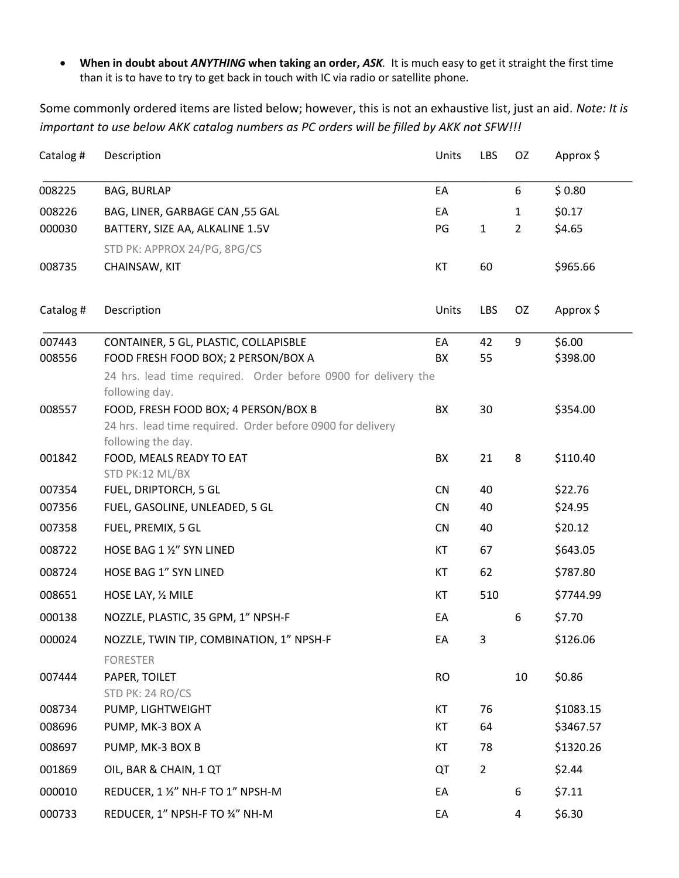• **When in doubt about** *ANYTHING* **when taking an order,** *ASK.* It is much easy to get it straight the first time than it is to have to try to get back in touch with IC via radio or satellite phone.

Some commonly ordered items are listed below; however, this is not an exhaustive list, just an aid. *Note: It is important to use below AKK catalog numbers as PC orders will be filled by AKK not SFW!!!*

| Catalog #        | Description                                                    | Units                  | LBS            | OZ             | Approx \$          |  |  |
|------------------|----------------------------------------------------------------|------------------------|----------------|----------------|--------------------|--|--|
| 008225           | <b>BAG, BURLAP</b>                                             | EA                     |                | 6              | \$0.80             |  |  |
| 008226           | BAG, LINER, GARBAGE CAN, 55 GAL                                | EA                     |                | $\mathbf{1}$   | \$0.17             |  |  |
| 000030           | BATTERY, SIZE AA, ALKALINE 1.5V                                | PG                     | $\mathbf{1}$   | $\overline{2}$ | \$4.65             |  |  |
|                  | STD PK: APPROX 24/PG, 8PG/CS                                   |                        |                |                |                    |  |  |
| 008735           | CHAINSAW, KIT                                                  | KT                     | 60             |                | \$965.66           |  |  |
| Catalog #        | Description                                                    | Units                  | LBS            | OZ             | Approx \$          |  |  |
| 007443           | CONTAINER, 5 GL, PLASTIC, COLLAPISBLE                          | EA                     | 42             | 9              | \$6.00             |  |  |
| 008556           | FOOD FRESH FOOD BOX; 2 PERSON/BOX A                            | BX                     | 55             |                | \$398.00           |  |  |
|                  | 24 hrs. lead time required. Order before 0900 for delivery the |                        |                |                |                    |  |  |
| 008557           | following day.<br>FOOD, FRESH FOOD BOX; 4 PERSON/BOX B         | BX                     | 30             |                | \$354.00           |  |  |
|                  | 24 hrs. lead time required. Order before 0900 for delivery     |                        |                |                |                    |  |  |
|                  | following the day.                                             |                        |                |                |                    |  |  |
| 001842           | FOOD, MEALS READY TO EAT                                       | BX                     | 21             | 8              | \$110.40           |  |  |
|                  | STD PK:12 ML/BX                                                |                        |                |                |                    |  |  |
| 007354<br>007356 | FUEL, DRIPTORCH, 5 GL<br>FUEL, GASOLINE, UNLEADED, 5 GL        | <b>CN</b><br><b>CN</b> | 40<br>40       |                | \$22.76<br>\$24.95 |  |  |
| 007358           | FUEL, PREMIX, 5 GL                                             | <b>CN</b>              | 40             |                | \$20.12            |  |  |
|                  |                                                                |                        |                |                |                    |  |  |
| 008722           | HOSE BAG 1 1/2" SYN LINED                                      | KT                     | 67             |                | \$643.05           |  |  |
| 008724           | HOSE BAG 1" SYN LINED                                          | KT                     | 62             |                | \$787.80           |  |  |
| 008651           | HOSE LAY, 1/2 MILE                                             | KT                     | 510            |                | \$7744.99          |  |  |
| 000138           | NOZZLE, PLASTIC, 35 GPM, 1" NPSH-F                             | EA                     |                | 6              | \$7.70             |  |  |
| 000024           | NOZZLE, TWIN TIP, COMBINATION, 1" NPSH-F                       | EA                     | 3              |                | \$126.06           |  |  |
|                  | <b>FORESTER</b>                                                |                        |                |                |                    |  |  |
| 007444           | PAPER, TOILET                                                  | <b>RO</b>              |                | 10             | \$0.86             |  |  |
|                  | STD PK: 24 RO/CS                                               |                        |                |                |                    |  |  |
| 008734           | PUMP, LIGHTWEIGHT                                              | KT                     | 76             |                | \$1083.15          |  |  |
| 008696           | PUMP, MK-3 BOX A                                               | KT                     | 64             |                | \$3467.57          |  |  |
| 008697           | PUMP, MK-3 BOX B                                               | KT                     | 78             |                | \$1320.26          |  |  |
| 001869           | OIL, BAR & CHAIN, 1 QT                                         | QT                     | $\overline{2}$ |                | \$2.44             |  |  |
| 000010           | REDUCER, 1 1/2" NH-F TO 1" NPSH-M                              | EA                     |                | 6              | \$7.11             |  |  |
| 000733           | REDUCER, 1" NPSH-F TO 34" NH-M                                 | EA                     |                | 4              | \$6.30             |  |  |